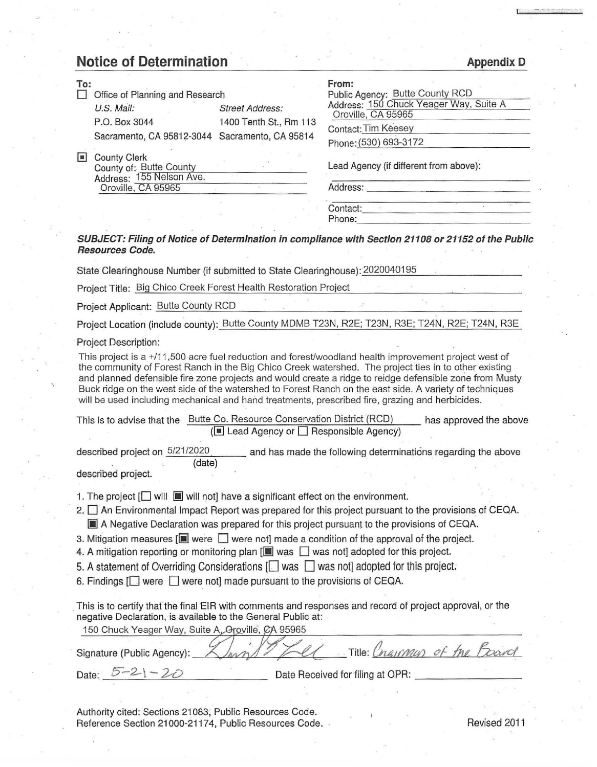## **Notice of Determination**

| Notice of Determination                                                                                                                                                                                                                                                                                                                                                                                                                                             | <b>Appendix D</b>                                             |  |  |
|---------------------------------------------------------------------------------------------------------------------------------------------------------------------------------------------------------------------------------------------------------------------------------------------------------------------------------------------------------------------------------------------------------------------------------------------------------------------|---------------------------------------------------------------|--|--|
| To:                                                                                                                                                                                                                                                                                                                                                                                                                                                                 | From:                                                         |  |  |
| Office of Planning and Research                                                                                                                                                                                                                                                                                                                                                                                                                                     | Public Agency: Butte County RCD                               |  |  |
| U.S. Mail:<br><b>Street Address:</b>                                                                                                                                                                                                                                                                                                                                                                                                                                | Address: 150 Chuck Yeager Way, Suite A<br>Oroville, CA 95965  |  |  |
| P.O. Box 3044<br>1400 Tenth St., Rm 113                                                                                                                                                                                                                                                                                                                                                                                                                             | Contact: Tim Keesey                                           |  |  |
| Sacramento, CA 95812-3044 Sacramento, CA 95814                                                                                                                                                                                                                                                                                                                                                                                                                      |                                                               |  |  |
|                                                                                                                                                                                                                                                                                                                                                                                                                                                                     | Phone: (530) 693-3172                                         |  |  |
| County Clerk<br>County of: Butte County<br>Address: 155 Nelson Ave.                                                                                                                                                                                                                                                                                                                                                                                                 | Lead Agency (if different from above):                        |  |  |
| Oroville, CA 95965                                                                                                                                                                                                                                                                                                                                                                                                                                                  |                                                               |  |  |
|                                                                                                                                                                                                                                                                                                                                                                                                                                                                     | Contact: Alexander Contact:                                   |  |  |
|                                                                                                                                                                                                                                                                                                                                                                                                                                                                     |                                                               |  |  |
| SUBJECT: Filing of Notice of Determination in compliance with Section 21108 or 21152 of the Public<br><b>Resources Code.</b><br>State Clearinghouse Number (if submitted to State Clearinghouse): 2020040195                                                                                                                                                                                                                                                        |                                                               |  |  |
| Project Title: Big Chico Creek Forest Health Restoration Project                                                                                                                                                                                                                                                                                                                                                                                                    |                                                               |  |  |
|                                                                                                                                                                                                                                                                                                                                                                                                                                                                     |                                                               |  |  |
| Project Applicant: Butte County RCD                                                                                                                                                                                                                                                                                                                                                                                                                                 |                                                               |  |  |
| Project Location (include county): Butte County MDMB T23N, R2E; T23N, R3E; T24N, R2E; T24N, R3E.                                                                                                                                                                                                                                                                                                                                                                    |                                                               |  |  |
| <b>Project Description:</b><br>This project is a +/11,500 acre fuel reduction and forest/woodland health improvement project west of                                                                                                                                                                                                                                                                                                                                |                                                               |  |  |
| and planned defensible fire zone projects and would create a ridge to reidge defensible zone from Musty<br>Buck ridge on the west side of the watershed to Forest Ranch on the east side. A variety of techniques<br>will be used including mechanical and hand treatments, prescribed fire, grazing and herbicides.<br>This is to advise that the Butte Co. Resource Conservation District (RCD) has approved the above<br>(■ Lead Agency or □ Responsible Agency) |                                                               |  |  |
|                                                                                                                                                                                                                                                                                                                                                                                                                                                                     |                                                               |  |  |
| described project on 5/21/2020<br>(date)<br>described project.                                                                                                                                                                                                                                                                                                                                                                                                      | and has made the following determinations regarding the above |  |  |
|                                                                                                                                                                                                                                                                                                                                                                                                                                                                     |                                                               |  |  |
| 1. The project $[\Box]$ will $[\Box]$ will not] have a significant effect on the environment.                                                                                                                                                                                                                                                                                                                                                                       |                                                               |  |  |
| 2. An Environmental Impact Report was prepared for this project pursuant to the provisions of CEQA.                                                                                                                                                                                                                                                                                                                                                                 |                                                               |  |  |
| A Negative Declaration was prepared for this project pursuant to the provisions of CEQA.                                                                                                                                                                                                                                                                                                                                                                            |                                                               |  |  |
| 3. Mitigation measures $[\blacksquare]$ were $\blacksquare$ were not] made a condition of the approval of the project.                                                                                                                                                                                                                                                                                                                                              |                                                               |  |  |
| 4. A mitigation reporting or monitoring plan $[\blacksquare$ was $\Box$ was not] adopted for this project.                                                                                                                                                                                                                                                                                                                                                          |                                                               |  |  |
|                                                                                                                                                                                                                                                                                                                                                                                                                                                                     |                                                               |  |  |
| 5. A statement of Overriding Considerations $\Box$ was $\Box$ was not adopted for this project.                                                                                                                                                                                                                                                                                                                                                                     |                                                               |  |  |
| 6. Findings $\Box$ were $\Box$ were not] made pursuant to the provisions of CEQA.                                                                                                                                                                                                                                                                                                                                                                                   |                                                               |  |  |
| This is to certify that the final EIR with comments and responses and record of project approval, or the<br>negative Declaration, is available to the General Public at:<br>150 Chuck Yeager Way, Suite A, Oroville, CA 95965                                                                                                                                                                                                                                       |                                                               |  |  |
| Signature (Public Agency):                                                                                                                                                                                                                                                                                                                                                                                                                                          | Title: Cnarmon of the 1                                       |  |  |
| Date: $5 - 21 - 20$                                                                                                                                                                                                                                                                                                                                                                                                                                                 | Date Received for filing at OPR:                              |  |  |
|                                                                                                                                                                                                                                                                                                                                                                                                                                                                     |                                                               |  |  |

Authority cited: Sections 21083, Public Resources Code. Reference Section 21000-21174, Public Resources Code. Revised 2011